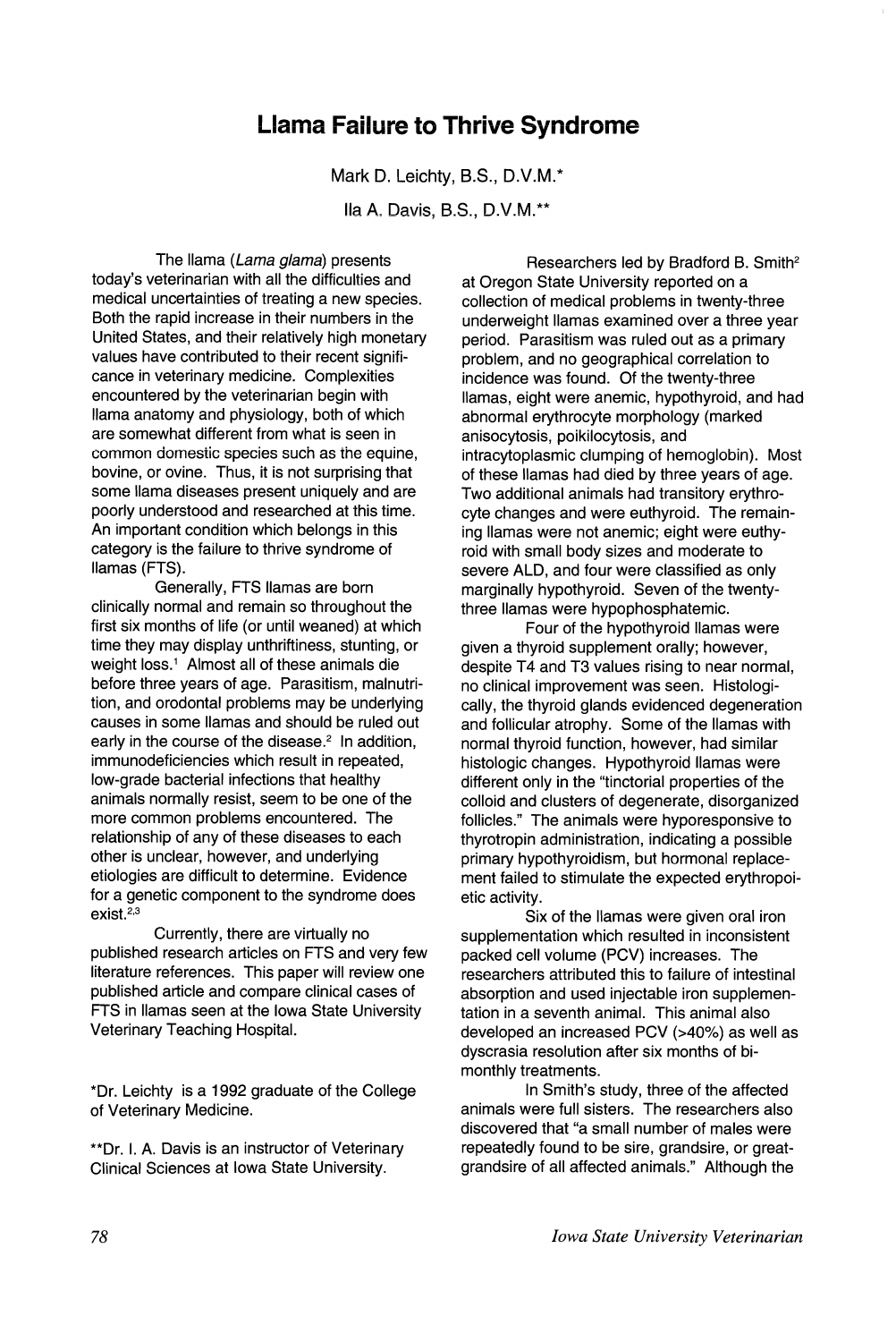## **Llama Failure to Thrive Syndrome**

Mark D. Leichty, B.S., D.V.M.\*

lIa A. Davis, 8.S., D.V.M.\*\*

The llama (Lama glama) presents today's veterinarian with all the difficulties and medical uncertainties of treating a new species. Both the rapid increase in their numbers in the United States, and their relatively high monetary values have contributed to their recent significance in veterinary medicine. Complexities encountered by the veterinarian begin with llama anatomy and physiology, both of which are somewhat different from what is seen in common domestic species such as the equine. bovine, or ovine. Thus, it is not surprising that some llama diseases present uniquely and are poorly understood and researched at this time. An important condition which belongs in this category is the failure to thrive syndrome of llamas (FTS).

Generally, FTS llamas are born clinically normal and remain so throughout the first six months of life (or until weaned) at which time they may display unthriftiness, stunting, or weight loss.<sup>1</sup> Almost all of these animals die before three years of age. Parasitism, malnutrition, and orodontal problems may be underlying causes in some llamas and should be ruled out early in the course of the disease.<sup>2</sup> In addition, immunodeficiencies which result in repeated, low-grade bacterial infections that healthy animals normally resist, seem to be one of the more common problems encountered. The relationship of any of these diseases to each other is unclear, however, and underlying etiologies are difficult to determine. Evidence for a genetic component to the syndrome does exist. $^{2,3}$ 

Currently, there are virtually no published research articles on FTS and very few literature references. This paper will review one published article and compare clinical cases of FTS in llamas seen at the Iowa State University Veterinary Teaching Hospital.

\*Dr. Leichty is a 1992 graduate of the College of Veterinary Medicine.

\*\*Dr. I. A. Davis is an instructor of Veterinary Clinical Sciences at Iowa State University.

Researchers led by Bradford B. Smith<sup>2</sup> at Oregon State University reported on a collection of medical problems in twenty-three underweight llamas examined over a three year period. Parasitism was ruled out as a primary problem, and no geographical correlation to incidence was found. Of the twenty-three llamas, eight were anemic, hypothyroid, and had abnormal erythrocyte morphology (marked anisocytosis, poikilocytosis, and intracytoplasmic clumping of hemoglobin). Most of these llamas had died by three years of age. Two additional animals had transitory erythrocyte changes and were euthyroid. The remaining llamas were not anemic; eight were euthyroid with small body sizes and moderate to severe ALD, and four were classified as only marginally hypothyroid. Seven of the twentythree llamas were hypophosphatemic.

Four of the hypothyroid llamas were given a thyroid supplement orally; however, despite T4 and T3 values rising to near normal, no clinical improvement was seen. Histologically, the thyroid glands evidenced degeneration and follicular atrophy. Some of the llamas with normal thyroid function, however, had similar histologic changes. Hypothyroid llamas were different only in the "tinctorial properties of the colloid and clusters of degenerate, disorganized follicles." The animals were hyporesponsive to thyrotropin administration, indicating a possible primary hypothyroidism, but hormonal replacement failed to stimulate the expected erythropoietic activity.

Six of the llamas were given oral iron supplementation which resulted in inconsistent packed cell volume (PCV) increases. The researchers attributed this to failure of intestinal absorption and used injectable iron supplementation in a seventh animal. This animal also developed an increased PCV (>40%) as well as dyscrasia resolution after six months of bimonthly treatments.

In Smith's study, three of the affected animals were full sisters. The researchers also discovered that "a small number of males were repeatedly found to be sire, grandsire, or greatgrandsire of all affected animals." Although the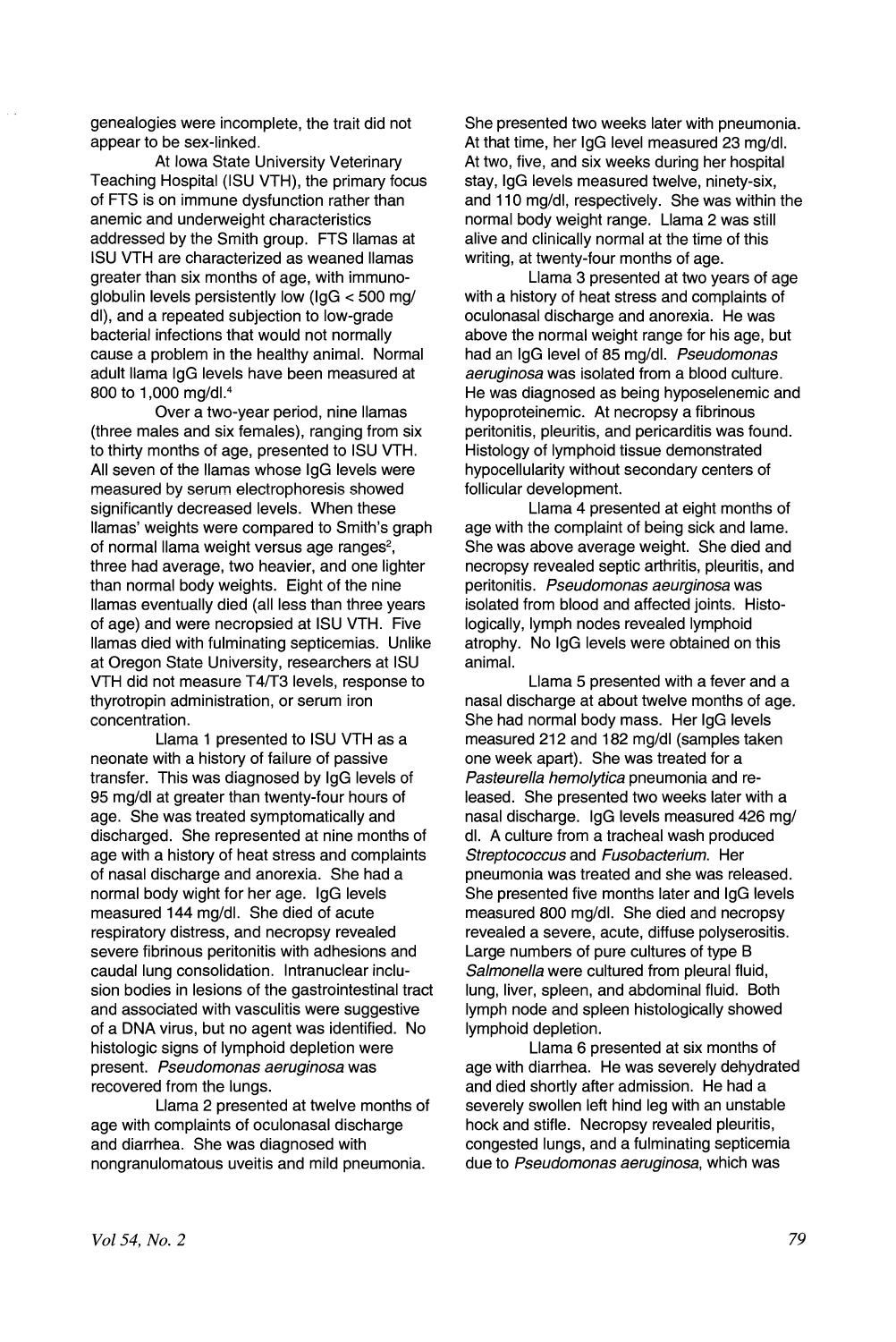genealogies were incomplete, the trait did not appear to be sex-linked.

At Iowa State University Veterinary Teaching Hospital (ISU VTH), the primary focus of FTS is on immune dysfunction rather than anemic and underweight characteristics addressed by the Smith group. FTS llamas at ISU VTH are characterized as weaned llamas greater than six months of age, with immunoglobulin levels persistently low (lgG < 500 mg/ dl), and a repeated subjection to low-grade bacterial infections that would not normally cause a problem in the healthy animal. Normal adult llama IgG levels have been measured at 800 to 1,000 mg/dl.4

Over a two-year period, nine llamas (three males and six females), ranging from six to thirty months of age, presented to ISU VTH. All seven of the llamas whose IgG levels were measured by serum electrophoresis showed significantly decreased levels. When these llamas' weights were compared to Smith's graph of normal llama weight versus age ranges<sup>2</sup>, three had average, two heavier, and one lighter than normal body weights. Eight of the nine llamas eventually died (all less than three years of age) and were necropsied at ISU VTH. Five llamas died with fulminating septicemias. Unlike at Oregon State University, researchers at ISU VTH did not measure T4/T3 levels, response to thyrotropin administration, or serum iron concentration.

Llama 1 presented to ISU VTH as a neonate with a history of failure of passive transfer. This was diagnosed by IgG levels of 95 mg/dl at greater than twenty-four hours of age. She was treated symptomatically and discharged. She represented at nine months of age with a history of heat stress and complaints of nasal discharge and anorexia. She had a normal body wight for her age. IgG levels measured 144 mg/dl. She died of acute respiratory distress, and necropsy revealed severe fibrinous peritonitis with adhesions and caudal lung consolidation. Intranuclear inclusion bodies in lesions of the gastrointestinal tract and associated with vasculitis were suggestive of a DNA virus, but no agent was identified. No histologic signs of lymphoid depletion were present. Pseudomonas aeruginosa was recovered from the lungs.

Llama 2 presented at twelve months of age with complaints of oculonasal discharge and diarrhea. She was diagnosed with nongranulomatous uveitis and mild pneumonia.

She presented two weeks later with pneumonia. At that time, her IgG level measured 23 mg/dl. At two, five, and six weeks during her hospital stay, IgG levels measured twelve, ninety-six, and 110 mg/dl, respectively. She was within the normal body weight range. Llama 2 was still alive and clinically normal at the time of this writing, at twenty-four months of age.

Llama 3 presented at two years of age with a history of heat stress and complaints of oculonasal discharge and anorexia. He was above the normal weight range for his age, but had an IgG level of 85 mg/dl. Pseudomonas aeruginosa was isolated from a blood culture. He was diagnosed as being hyposelenemic and hypoproteinemic. At necropsy a fibrinous peritonitis, pleuritis, and pericarditis was found. Histology of lymphoid tissue demonstrated hypocellularity without secondary centers of follicular development.

Llama 4 presented at eight months of age with the complaint of being sick and lame. She was above average weight. She died and necropsy revealed septic arthritis, pleuritis, and peritonitis. Pseudomonas aeurginosa was isolated from blood and affected joints. Histologically, lymph nodes revealed lymphoid atrophy. No IgG levels were obtained on this animal.

Llama 5 presented with a fever and a nasal discharge at about twelve months of age. She had normal body mass. Her IgG levels measured 212 and 182 mg/dl (samples taken one week apart). She was treated for a Pasteurella hemolytica pneumonia and released. She presented two weeks later with a nasal discharge. IgG levels measured 426 mg/ dl. A culture from a tracheal wash produced Streptococcus and Fusobacterium. Her pneumonia was treated and she was released. She presented five months later and IgG levels measured 800 mg/dl. She died and necropsy revealed a severe, acute, diffuse polyserositis. Large numbers of pure cultures of type 8 Salmonella were cultured from pleural fluid, lung, liver, spleen, and abdominal fluid. Both lymph node and spleen histologically showed lymphoid depletion.

Llama 6 presented at six months of age with diarrhea. He was severely dehydrated and died shortly after admission. He had a severely swollen left hind leg with an unstable hock and stifle. Necropsy revealed pleuritis, congested lungs, and a fulminating septicemia due to Pseudomonas aeruginosa, which was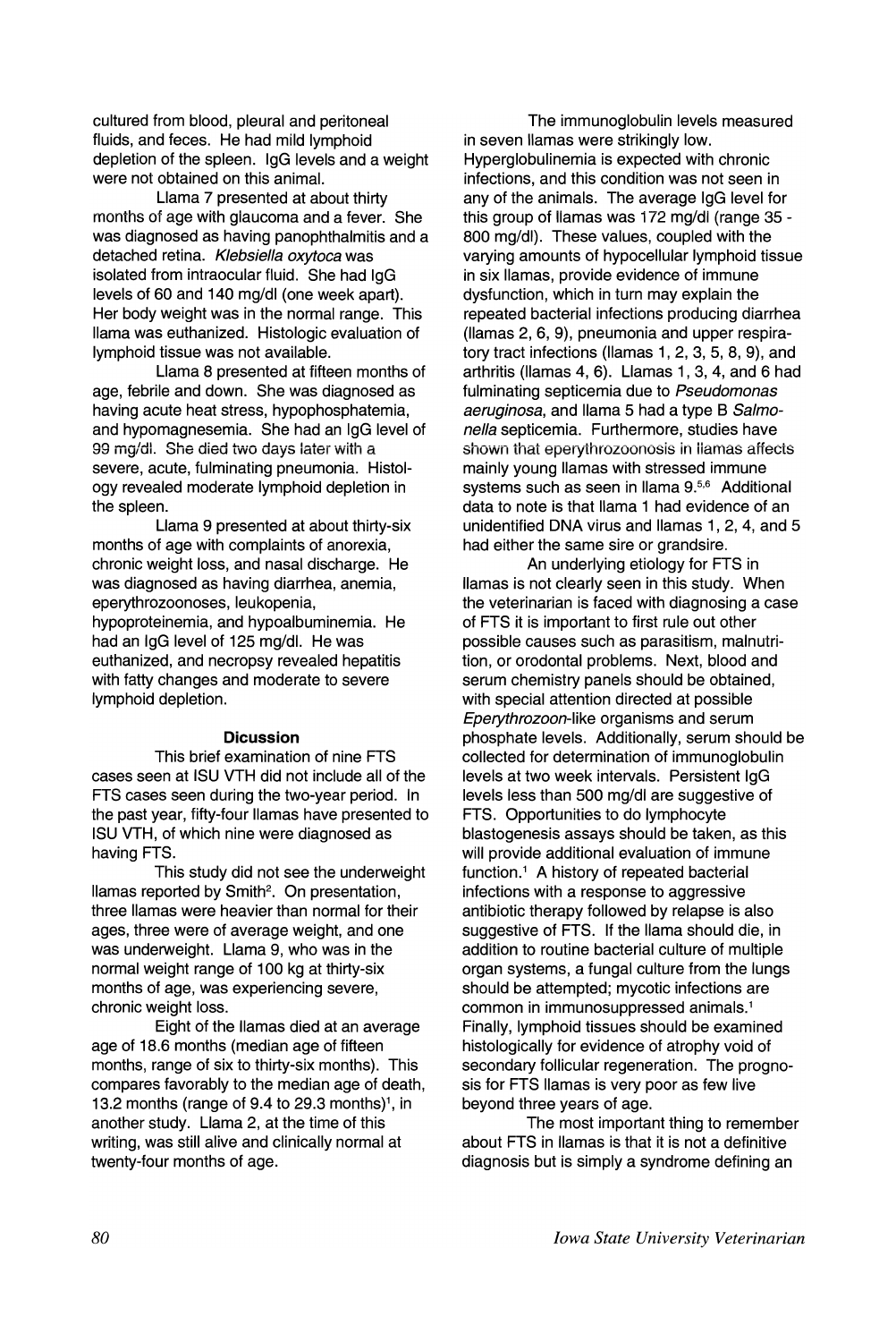cultured from blood, pleural and peritoneal fluids, and feces. He had mild lymphoid depletion of the spleen. IgG levels and a weight were not obtained on this animal.

Llama 7 presented at about thirty months of age with glaucoma and a fever. She was diagnosed as having panophthalmitis and a detached retina. Klebsiella oxytoca was isolated from intraocular fluid. She had IgG levels of 60 and 140 mg/dl (one week apart). Her body weight was in the normal range. This llama was euthanized. Histologic evaluation of lymphoid tissue was not available.

Llama 8 presented at fifteen months of age, febrile and down. She was diagnosed as having acute heat stress, hypophosphatemia, and hypomagnesemia. She had an IgG level of 99 mg/dl. She died two days later with a severe, acute, fulminating pneumonia. Histology revealed moderate lymphoid depletion in the spleen.

Llama 9 presented at about thirty-six months of age with complaints of anorexia, chronic weight loss, and nasal discharge. He was diagnosed as having diarrhea, anemia, eperythrozoonoses, leukopenia, hypoproteinemia, and hypoalbuminemia. He had an IgG level of 125 mg/dl. He was euthanized, and necropsy revealed hepatitis with fatty changes and moderate to severe lymphoid depletion.

## **Dicussion**

This brief examination of nine FTS cases seen at ISU VTH did not include all of the FTS cases seen during the two-year period. In the past year, fifty-four llamas have presented to ISU VTH, of which nine were diagnosed as having FTS.

This study did not see the underweight llamas reported by Smith<sup>2</sup>. On presentation, three llamas were heavier than normal for their ages, three were of average weight, and one was underweight. Llama 9, who was in the normal weight range of 100 kg at thirty-six months of age, was experiencing severe, chronic weight loss.

Eight of the llamas died at an average age of 18.6 months (median age of fifteen months, range of six to thirty-six months). This compares favorably to the median age of death, 13.2 months (range of 9.4 to 29.3 months) $<sup>1</sup>$ , in</sup> another study. Llama 2, at the time of this writing, was still alive and clinically normal at twenty-four months of age.

The immunoglobulin levels measured in seven llamas were strikingly low. Hyperglobulinemia is expected with chronic infections, and this condition was not seen in any of the animals. The average IgG level for this group of llamas was 172 mg/dl (range 35 - 800 mg/dl). These values, coupled with the varying amounts of hypocellular lymphoid tissue in six llamas, provide evidence of immune dysfunction, which in turn may explain the repeated bacterial infections producing diarrhea (llamas 2, 6, 9), pneumonia and upper respiratory tract infections (llamas 1, 2, 3, 5, 8, 9), and arthritis (llamas 4, 6). Llamas 1, 3, 4, and 6 had fulminating septicemia due to Pseudomonas aeruginosa, and llama 5 had a type B Salmonella septicemia. Furthermore, studies have shown that eperythrozoonosis in llamas affects mainly young llamas with stressed immune systems such as seen in Ilama 9.<sup>5,6</sup> Additional data to note is that llama 1 had evidence of an unidentified DNA virus and llamas 1, 2, 4, and 5 had either the same sire or grandsire.

An underlying etiology for FTS in llamas is not clearly seen in this study. When the veterinarian is faced with diagnosing a case of FTS it is important to first rule out other possible causes such as parasitism, malnutrition, or orodontal problems. Next, blood and serum chemistry panels should be obtained, with special attention directed at possible Eperythrozoon-like organisms and serum phosphate levels. Additionally, serum should be collected for determination of immunoglobulin levels at two week intervals. Persistent IgG levels less than 500 mg/dl are suggestive of FTS. Opportunities to do lymphocyte blastogenesis assays should be taken, as this will provide additional evaluation of immune function.<sup>1</sup> A history of repeated bacterial infections with a response to aggressive antibiotic therapy followed by relapse is also suggestive of FTS. If the llama should die, in addition to routine bacterial culture of multiple organ systems, a fungal culture from the lungs should be attempted; mycotic infections are common in immunosuppressed animals.<sup>1</sup> Finally, lymphoid tissues should be examined histologically for evidence of atrophy void of secondary follicular regeneration. The prognosis for FTS llamas is very poor as few live beyond three years of age.

The most important thing to remember about FTS in llamas is that it is not a definitive diagnosis but is simply a syndrome defining an